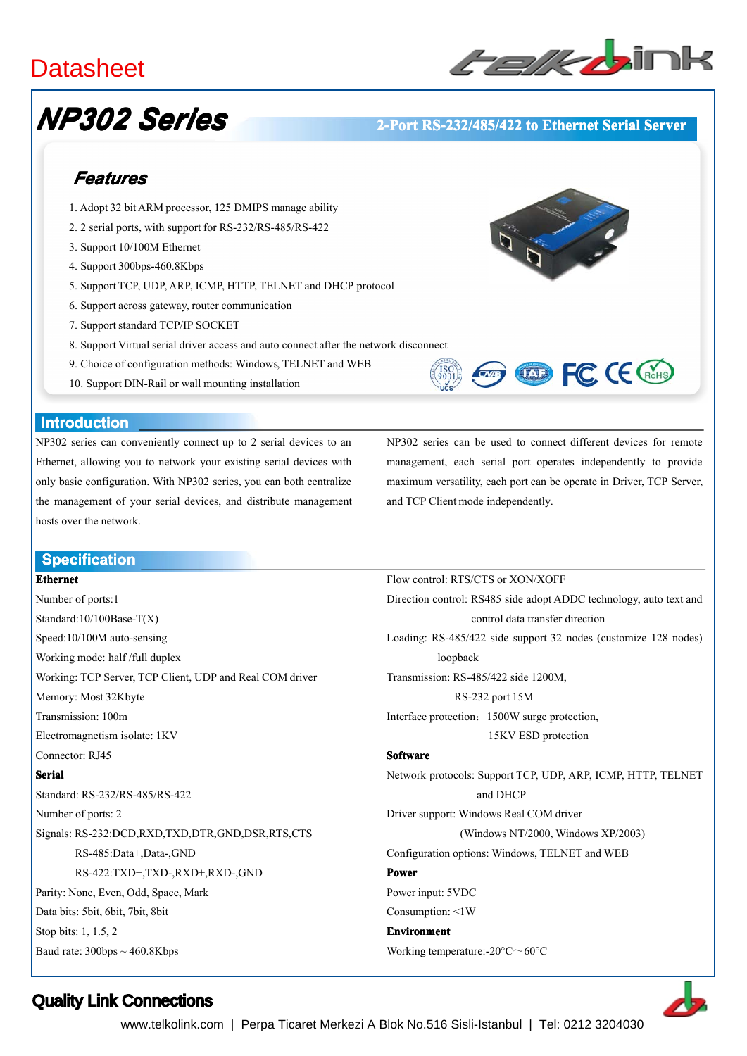# **Datasheet**



# *NP302 Series*

### **12-Port RS-232/485/422 to Ethernet Serial Server**

# *Features*

- 1. Adopt 32 bitARM processor, 125 DMIPS manage ability
- 2. 2 serial ports, with suppor<sup>t</sup> for RS-232/RS-485/RS-422
- 3. Support 10/100M Ethernet
- 4. Support 300bps-460.8Kbps
- 5. Support TCP, UDP, ARP, ICMP, HTTP, TELNET and DHCP protocol
- 6. Support across gateway, router communication
- 7. Support standard TCP/IP SOCKET
- 8. Support Virtual serial driver access and auto connect after the network disconnect
- 9. Choice of configuration methods: Windows, TELNET and WEB
- 10. Support DIN-Rail or wall mounting installation

### **Introduction Introduction**

NP302 series can conveniently connect up to 2 serial devices to an Ethernet, allowing you to network your existing serial devices with only basic configuration. With NP302 series, you can both centralize the managemen<sup>t</sup> of your serial devices, and distribute managemen<sup>t</sup> hosts over the network.

NP302 series can be used to connect different devices for remote management, each serial por<sup>t</sup> operates independently to provide maximum versatility, each por<sup>t</sup> can be operate in Driver, TCP Server, and TCP Client mode independently.

**EXP FC CE CROHS** 

Flow control: RTS/CTS or XON/XOFF

#### **Specification Specification**

#### **Ethernet**

Number of ports:1 Standard:10/100Base-T(X) Speed:10/100M auto-sensing Working mode: half /full duplex Working: TCP Server, TCP Client, UDP and Real COM driver Memory: Most 32Kbyte Transmission: 100m Electromagnetism isolate: 1KV Connector: RJ45 **Serial** Standard: RS-232/RS-485/RS-422 Number of ports: 2 Signals: RS-232:DCD,RXD,TXD,DTR,GND,DSR,RTS,CTS RS-485:Data+,Data-,GND RS-422:TXD+,TXD-,RXD+,RXD-,GND Parity: None, Even, Odd, Space, Mark Data bits: 5bit, 6bit, 7bit, 8bit Stop bits: 1, 1.5, 2 Baud rate:  $300bps \sim 460.8Kbps$ 

Direction control: RS485 side adopt ADDC technology, auto text and control data transfer direction Loading: RS-485/422 side suppor<sup>t</sup> 32 nodes (customize 128 nodes) loopback Transmission: RS-485/422 side 1200M, RS-232 por<sup>t</sup> 15M Interface protection:1500W surge protection, 15KV ESD protection **Software Software** Network protocols: Support TCP, UDP, ARP, ICMP, HTTP, TELNET and DHCP Driver support: Windows Real COM driver (Windows NT/2000, Windows XP/2003) Configuration options: Windows, TELNET and WEB **Power** Power input: 5VDC Consumption: <1W **Environment Environment** Working temperature:-20°C~60°C

Quality Link Connections